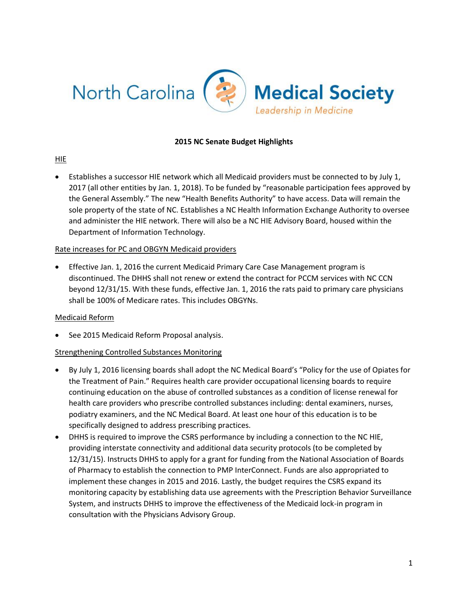

#### **2015 NC Senate Budget Highlights**

#### HIE

 Establishes a successor HIE network which all Medicaid providers must be connected to by July 1, 2017 (all other entities by Jan. 1, 2018). To be funded by "reasonable participation fees approved by the General Assembly." The new "Health Benefits Authority" to have access. Data will remain the sole property of the state of NC. Establishes a NC Health Information Exchange Authority to oversee and administer the HIE network. There will also be a NC HIE Advisory Board, housed within the Department of Information Technology.

#### Rate increases for PC and OBGYN Medicaid providers

 Effective Jan. 1, 2016 the current Medicaid Primary Care Case Management program is discontinued. The DHHS shall not renew or extend the contract for PCCM services with NC CCN beyond 12/31/15. With these funds, effective Jan. 1, 2016 the rats paid to primary care physicians shall be 100% of Medicare rates. This includes OBGYNs.

#### Medicaid Reform

• See 2015 Medicaid Reform Proposal analysis.

#### Strengthening Controlled Substances Monitoring

- By July 1, 2016 licensing boards shall adopt the NC Medical Board's "Policy for the use of Opiates for the Treatment of Pain." Requires health care provider occupational licensing boards to require continuing education on the abuse of controlled substances as a condition of license renewal for health care providers who prescribe controlled substances including: dental examiners, nurses, podiatry examiners, and the NC Medical Board. At least one hour of this education is to be specifically designed to address prescribing practices.
- DHHS is required to improve the CSRS performance by including a connection to the NC HIE, providing interstate connectivity and additional data security protocols (to be completed by 12/31/15). Instructs DHHS to apply for a grant for funding from the National Association of Boards of Pharmacy to establish the connection to PMP InterConnect. Funds are also appropriated to implement these changes in 2015 and 2016. Lastly, the budget requires the CSRS expand its monitoring capacity by establishing data use agreements with the Prescription Behavior Surveillance System, and instructs DHHS to improve the effectiveness of the Medicaid lock-in program in consultation with the Physicians Advisory Group.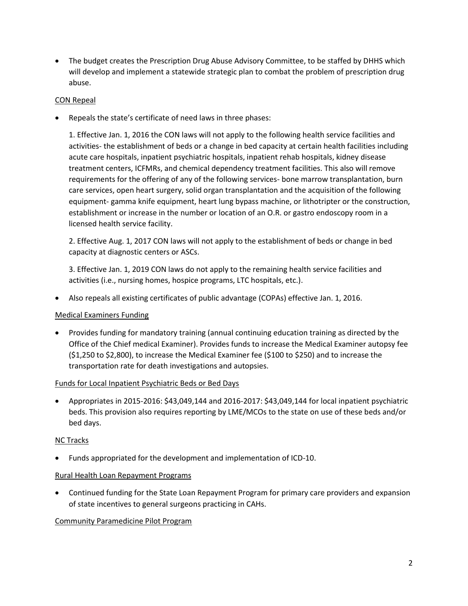• The budget creates the Prescription Drug Abuse Advisory Committee, to be staffed by DHHS which will develop and implement a statewide strategic plan to combat the problem of prescription drug abuse.

## CON Repeal

Repeals the state's certificate of need laws in three phases:

1. Effective Jan. 1, 2016 the CON laws will not apply to the following health service facilities and activities- the establishment of beds or a change in bed capacity at certain health facilities including acute care hospitals, inpatient psychiatric hospitals, inpatient rehab hospitals, kidney disease treatment centers, ICFMRs, and chemical dependency treatment facilities. This also will remove requirements for the offering of any of the following services- bone marrow transplantation, burn care services, open heart surgery, solid organ transplantation and the acquisition of the following equipment- gamma knife equipment, heart lung bypass machine, or lithotripter or the construction, establishment or increase in the number or location of an O.R. or gastro endoscopy room in a licensed health service facility.

2. Effective Aug. 1, 2017 CON laws will not apply to the establishment of beds or change in bed capacity at diagnostic centers or ASCs.

3. Effective Jan. 1, 2019 CON laws do not apply to the remaining health service facilities and activities (i.e., nursing homes, hospice programs, LTC hospitals, etc.).

Also repeals all existing certificates of public advantage (COPAs) effective Jan. 1, 2016.

# Medical Examiners Funding

 Provides funding for mandatory training (annual continuing education training as directed by the Office of the Chief medical Examiner). Provides funds to increase the Medical Examiner autopsy fee (\$1,250 to \$2,800), to increase the Medical Examiner fee (\$100 to \$250) and to increase the transportation rate for death investigations and autopsies.

#### Funds for Local Inpatient Psychiatric Beds or Bed Days

 Appropriates in 2015-2016: \$43,049,144 and 2016-2017: \$43,049,144 for local inpatient psychiatric beds. This provision also requires reporting by LME/MCOs to the state on use of these beds and/or bed days.

# NC Tracks

Funds appropriated for the development and implementation of ICD-10.

#### Rural Health Loan Repayment Programs

 Continued funding for the State Loan Repayment Program for primary care providers and expansion of state incentives to general surgeons practicing in CAHs.

#### Community Paramedicine Pilot Program